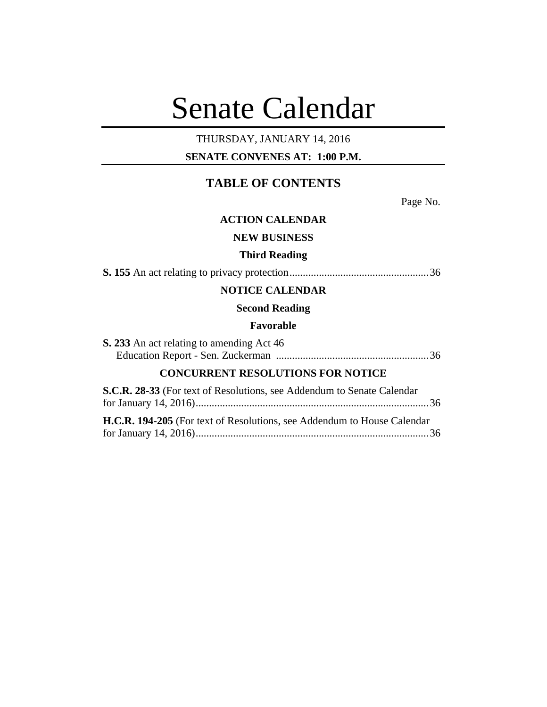# Senate Calendar

# THURSDAY, JANUARY 14, 2016

# **SENATE CONVENES AT: 1:00 P.M.**

# **TABLE OF CONTENTS**

Page No.

# **ACTION CALENDAR**

# **NEW BUSINESS**

#### **Third Reading**

**S. 155** An act relating to privacy protection....................................................36

# **NOTICE CALENDAR**

#### **Second Reading**

#### **Favorable**

| <b>S. 233</b> An act relating to amending Act 46 |  |
|--------------------------------------------------|--|
|                                                  |  |

# **CONCURRENT RESOLUTIONS FOR NOTICE**

| S.C.R. 28-33 (For text of Resolutions, see Addendum to Senate Calendar         |  |
|--------------------------------------------------------------------------------|--|
|                                                                                |  |
| <b>H.C.R. 194-205</b> (For text of Resolutions, see Addendum to House Calendar |  |
|                                                                                |  |